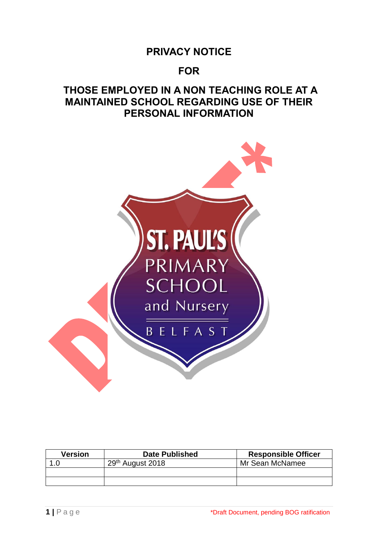# **PRIVACY NOTICE**

# **FOR**

# **THOSE EMPLOYED IN A NON TEACHING ROLE AT A MAINTAINED SCHOOL REGARDING USE OF THEIR PERSONAL INFORMATION**



| Version | <b>Date Published</b>        | <b>Responsible Officer</b> |
|---------|------------------------------|----------------------------|
|         | 29 <sup>th</sup> August 2018 | Mr Sean McNamee            |
|         |                              |                            |
|         |                              |                            |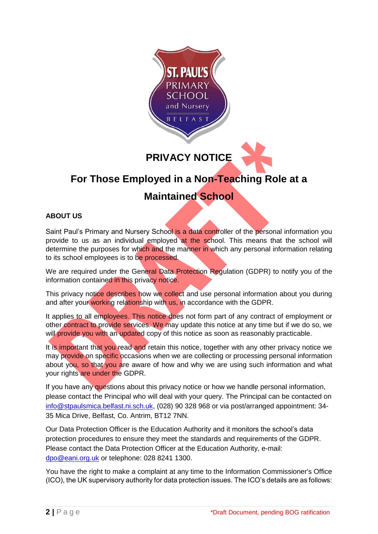

**PRIVACY NOTICE**

# **For Those Employed in a Non-Teaching Role at a Maintained School**

# **ABOUT US**

Saint Paul's Primary and Nursery School is a data controller of the personal information you provide to us as an individual employed at the school. This means that the school will determine the purposes for which and the manner in which any personal information relating to its school employees is to be processed.

We are required under the General Data Protection Regulation (GDPR) to notify you of the information contained in this privacy notice.

This privacy notice describes how we collect and use personal information about you during and after your working relationship with us, in accordance with the GDPR.

It applies to all employees. This notice does not form part of any contract of employment or other contract to provide services. We may update this notice at any time but if we do so, we will provide you with an updated copy of this notice as soon as reasonably practicable.

It is important that you read and retain this notice, together with any other privacy notice we may provide on specific occasions when we are collecting or processing personal information about you, so that you are aware of how and why we are using such information and what your rights are under the GDPR.

If you have any questions about this privacy notice or how we handle personal information, please contact the Principal who will deal with your query. The Principal can be contacted on [info@stpaulsmica.belfast.ni.sch.uk,](mailto:smcnamee381@stpaulsmica.belfast.ni.sch.uk) (028) 90 328 968 or via post/arranged appointment: 34- 35 Mica Drive, Belfast, Co. Antrim, BT12 7NN.

Our Data Protection Officer is the Education Authority and it monitors the school's data protection procedures to ensure they meet the standards and requirements of the GDPR. Please contact the Data Protection Officer at the Education Authority, e-mail: [dpo@eani.org.uk](mailto:dpo@eani.org.uk) or telephone: 028 8241 1300.

You have the right to make a complaint at any time to the Information Commissioner's Office (ICO), the UK supervisory authority for data protection issues. The ICO's details are as follows: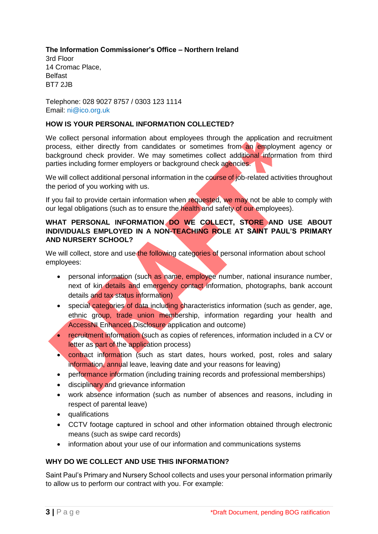# **The Information Commissioner's Office – Northern Ireland**

3rd Floor 14 Cromac Place, Belfast BT7 2JB

Telephone: 028 9027 8757 / 0303 123 1114 Email: ni@ico.org.uk

# **HOW IS YOUR PERSONAL INFORMATION COLLECTED?**

We collect personal information about employees through the application and recruitment process, either directly from candidates or sometimes from an employment agency or background check provider. We may sometimes collect additional information from third parties including former employers or background check agencies.

We will collect additional personal information in the course of job-related activities throughout the period of you working with us.

If you fail to provide certain information when requested, we may not be able to comply with our legal obligations (such as to ensure the health and safety of our employees).

#### **WHAT PERSONAL INFORMATION DO WE COLLECT, STORE AND USE ABOUT INDIVIDUALS EMPLOYED IN A NON-TEACHING ROLE AT SAINT PAUL'S PRIMARY AND NURSERY SCHOOL?**

We will collect, store and use the following categories of personal information about school employees:

- personal information (such as name, employee number, national insurance number, next of kin details and emergency contact information, photographs, bank account details and tax status information)
- special categories of data including characteristics information (such as gender, age, ethnic group, trade union membership, information regarding your health and AccessNI Enhanced Disclosure application and outcome)
- recruitment information (such as copies of references, information included in a CV or letter as part of the application process)
- contract information (such as start dates, hours worked, post, roles and salary information, annual leave, leaving date and your reasons for leaving)
- performance information (including training records and professional memberships)
- disciplinary and grievance information
- work absence information (such as number of absences and reasons, including in respect of parental leave)
- qualifications
- CCTV footage captured in school and other information obtained through electronic means (such as swipe card records)
- information about your use of our information and communications systems

# **WHY DO WE COLLECT AND USE THIS INFORMATION?**

Saint Paul's Primary and Nursery School collects and uses your personal information primarily to allow us to perform our contract with you. For example: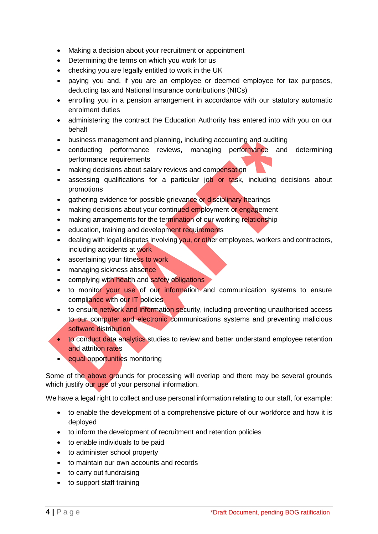- Making a decision about your recruitment or appointment
- Determining the terms on which you work for us
- checking you are legally entitled to work in the UK
- paying you and, if you are an employee or deemed employee for tax purposes, deducting tax and National Insurance contributions (NICs)
- enrolling you in a pension arrangement in accordance with our statutory automatic enrolment duties
- administering the contract the Education Authority has entered into with you on our behalf
- business management and planning, including accounting and auditing
- conducting performance reviews, managing performance and determining performance requirements
- making decisions about salary reviews and compensation
- assessing qualifications for a particular job or task, including decisions about promotions
- gathering evidence for possible grievance or disciplinary hearings
- making decisions about your continued employment or engagement
- making arrangements for the termination of our working relationship
- education, training and development requirements
- dealing with legal disputes involving you, or other employees, workers and contractors, including accidents at work
- ascertaining your fitness to work
- managing sickness absence
- complying with health and safety obligations
- to monitor your use of our information and communication systems to ensure compliance with our IT policies
- to ensure network and information security, including preventing unauthorised access to our computer and electronic communications systems and preventing malicious software distribution
- to conduct data analytics studies to review and better understand employee retention and attrition rates
- equal opportunities monitoring

Some of the above grounds for processing will overlap and there may be several grounds which justify our use of your personal information.

We have a legal right to collect and use personal information relating to our staff, for example:

- to enable the development of a comprehensive picture of our workforce and how it is deployed
- to inform the development of recruitment and retention policies
- to enable individuals to be paid
- to administer school property
- to maintain our own accounts and records
- to carry out fundraising
- to support staff training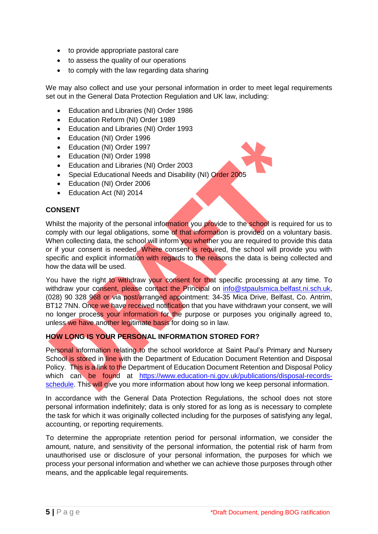- to provide appropriate pastoral care
- to assess the quality of our operations
- to comply with the law regarding data sharing

We may also collect and use your personal information in order to meet legal requirements set out in the General Data Protection Regulation and UK law, including:

- Education and Libraries (NI) Order 1986
- Education Reform (NI) Order 1989
- Education and Libraries (NI) Order 1993
- Education (NI) Order 1996
- Education (NI) Order 1997
- Education (NI) Order 1998
- Education and Libraries (NI) Order 2003
- Special Educational Needs and Disability (NI) Order 2005
- Education (NI) Order 2006
- Education Act (NI) 2014

#### **CONSENT**

Whilst the majority of the personal information you provide to the school is required for us to comply with our legal obligations, some of that information is provided on a voluntary basis. When collecting data, the school will inform you whether you are required to provide this data or if your consent is needed. Where consent is required, the school will provide you with specific and explicit information with regards to the reasons the data is being collected and how the data will be used.

You have the right to withdraw your consent for that specific processing at any time. To withdraw your consent, please contact the Principal on [info@stpaulsmica.belfast.ni.sch.uk,](mailto:smcnamee381@stpaulsmica.belfast.ni.sch.uk) (028) 90 328 968 or via post/arranged appointment: 34-35 Mica Drive, Belfast, Co. Antrim, BT12 7NN. Once we have received notification that you have withdrawn your consent, we will no longer process your information for the purpose or purposes you originally agreed to, unless we have another legitimate basis for doing so in law.

# **HOW LONG IS YOUR PERSONAL INFORMATION STORED FOR?**

Personal information relating to the school workforce at Saint Paul's Primary and Nursery School is stored in line with the Department of Education Document Retention and Disposal Policy. This is a link to the Department of Education Document Retention and Disposal Policy which can be found at [https://www.education-ni.gov.uk/publications/disposal-records](https://www.education-ni.gov.uk/publications/disposal-records-schedule)[schedule.](https://www.education-ni.gov.uk/publications/disposal-records-schedule) This will give you more information about how long we keep personal information.

In accordance with the General Data Protection Regulations, the school does not store personal information indefinitely; data is only stored for as long as is necessary to complete the task for which it was originally collected including for the purposes of satisfying any legal, accounting, or reporting requirements.

To determine the appropriate retention period for personal information, we consider the amount, nature, and sensitivity of the personal information, the potential risk of harm from unauthorised use or disclosure of your personal information, the purposes for which we process your personal information and whether we can achieve those purposes through other means, and the applicable legal requirements.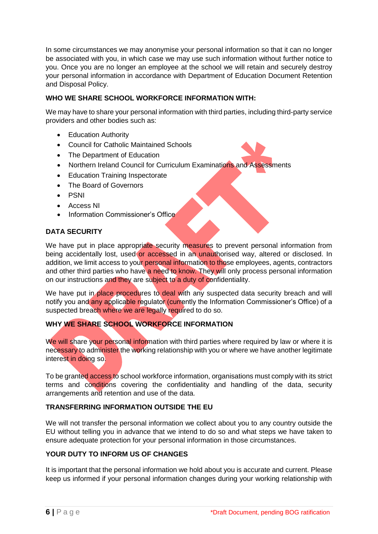In some circumstances we may anonymise your personal information so that it can no longer be associated with you, in which case we may use such information without further notice to you. Once you are no longer an employee at the school we will retain and securely destroy your personal information in accordance with Department of Education Document Retention and Disposal Policy.

# **WHO WE SHARE SCHOOL WORKFORCE INFORMATION WITH:**

We may have to share your personal information with third parties, including third-party service providers and other bodies such as:

- Education Authority
- Council for Catholic Maintained Schools
- The Department of Education
- Northern Ireland Council for Curriculum Examinations and Assessments
- Education Training Inspectorate
- The Board of Governors
- PSNI
- Access NI
- Information Commissioner's Office

# **DATA SECURITY**

We have put in place appropriate security measures to prevent personal information from being accidentally lost, used or accessed in an unauthorised way, altered or disclosed. In addition, we limit access to your personal information to those employees, agents, contractors and other third parties who have a need to know. They will only process personal information on our instructions and they are subject to a duty of confidentiality.

We have put in place procedures to deal with any suspected data security breach and will notify you and any applicable regulator (currently the Information Commissioner's Office) of a suspected breach where we are legally required to do so.

# **WHY WE SHARE SCHOOL WORKFORCE INFORMATION**

We will share your personal information with third parties where required by law or where it is necessary to administer the working relationship with you or where we have another legitimate interest in doing so.

To be granted access to school workforce information, organisations must comply with its strict terms and conditions covering the confidentiality and handling of the data, security arrangements and retention and use of the data.

# **TRANSFERRING INFORMATION OUTSIDE THE EU**

We will not transfer the personal information we collect about you to any country outside the EU without telling you in advance that we intend to do so and what steps we have taken to ensure adequate protection for your personal information in those circumstances.

# **YOUR DUTY TO INFORM US OF CHANGES**

It is important that the personal information we hold about you is accurate and current. Please keep us informed if your personal information changes during your working relationship with